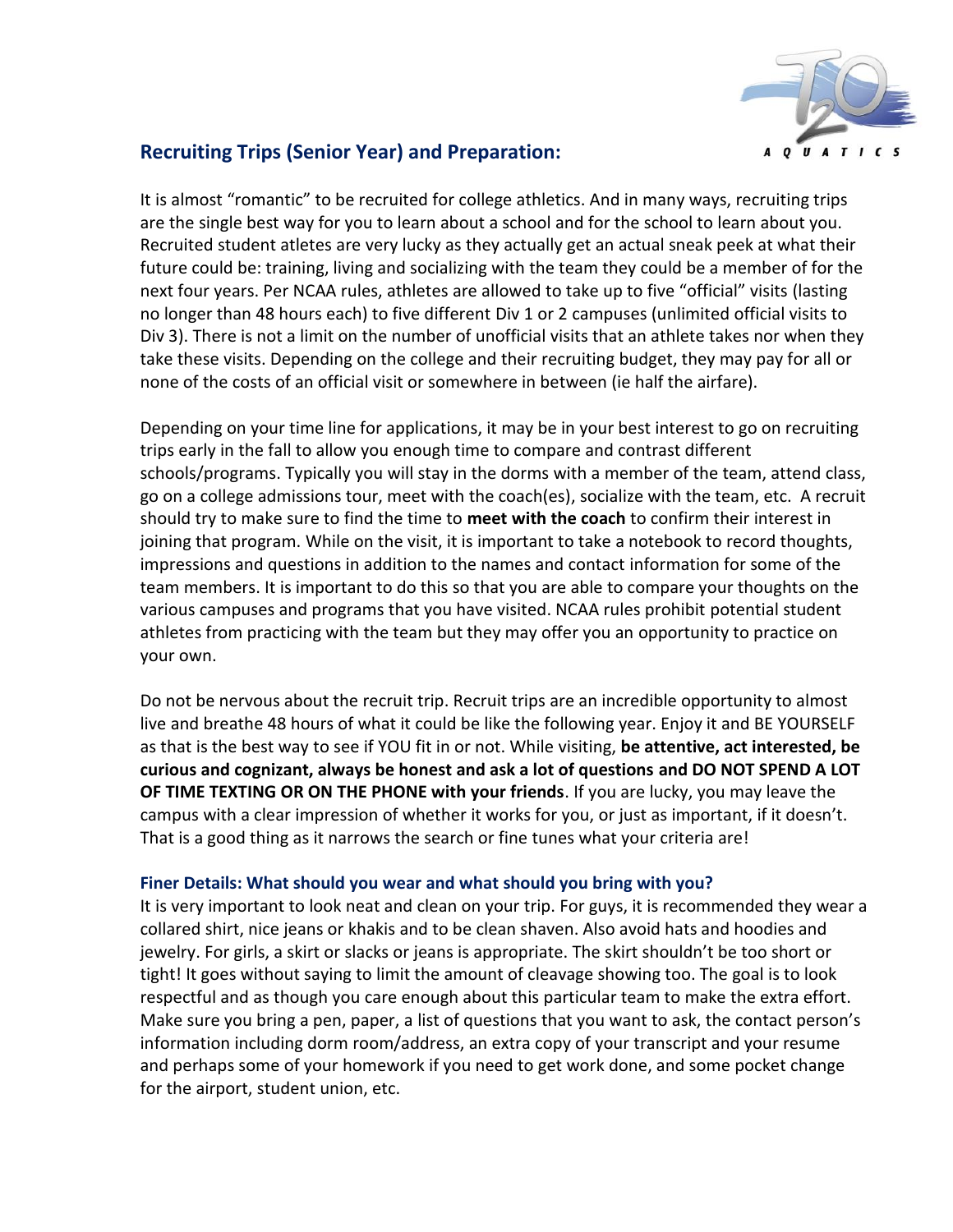

## **Recruiting Trips (Senior Year) and Preparation:**

It is almost "romantic" to be recruited for college athletics. And in many ways, recruiting trips are the single best way for you to learn about a school and for the school to learn about you. Recruited student atletes are very lucky as they actually get an actual sneak peek at what their future could be: training, living and socializing with the team they could be a member of for the next four years. Per NCAA rules, athletes are allowed to take up to five "official" visits (lasting no longer than 48 hours each) to five different Div 1 or 2 campuses (unlimited official visits to Div 3). There is not a limit on the number of unofficial visits that an athlete takes nor when they take these visits. Depending on the college and their recruiting budget, they may pay for all or none of the costs of an official visit or somewhere in between (ie half the airfare).

Depending on your time line for applications, it may be in your best interest to go on recruiting trips early in the fall to allow you enough time to compare and contrast different schools/programs. Typically you will stay in the dorms with a member of the team, attend class, go on a college admissions tour, meet with the coach(es), socialize with the team, etc. A recruit should try to make sure to find the time to **meet with the coach** to confirm their interest in joining that program. While on the visit, it is important to take a notebook to record thoughts, impressions and questions in addition to the names and contact information for some of the team members. It is important to do this so that you are able to compare your thoughts on the various campuses and programs that you have visited. NCAA rules prohibit potential student athletes from practicing with the team but they may offer you an opportunity to practice on your own.

Do not be nervous about the recruit trip. Recruit trips are an incredible opportunity to almost live and breathe 48 hours of what it could be like the following year. Enjoy it and BE YOURSELF as that is the best way to see if YOU fit in or not. While visiting, **be attentive, act interested, be curious and cognizant, always be honest and ask a lot of questions and DO NOT SPEND A LOT OF TIME TEXTING OR ON THE PHONE with your friends**. If you are lucky, you may leave the campus with a clear impression of whether it works for you, or just as important, if it doesn't. That is a good thing as it narrows the search or fine tunes what your criteria are!

## **Finer Details: What should you wear and what should you bring with you?**

It is very important to look neat and clean on your trip. For guys, it is recommended they wear a collared shirt, nice jeans or khakis and to be clean shaven. Also avoid hats and hoodies and jewelry. For girls, a skirt or slacks or jeans is appropriate. The skirt shouldn't be too short or tight! It goes without saying to limit the amount of cleavage showing too. The goal is to look respectful and as though you care enough about this particular team to make the extra effort. Make sure you bring a pen, paper, a list of questions that you want to ask, the contact person's information including dorm room/address, an extra copy of your transcript and your resume and perhaps some of your homework if you need to get work done, and some pocket change for the airport, student union, etc.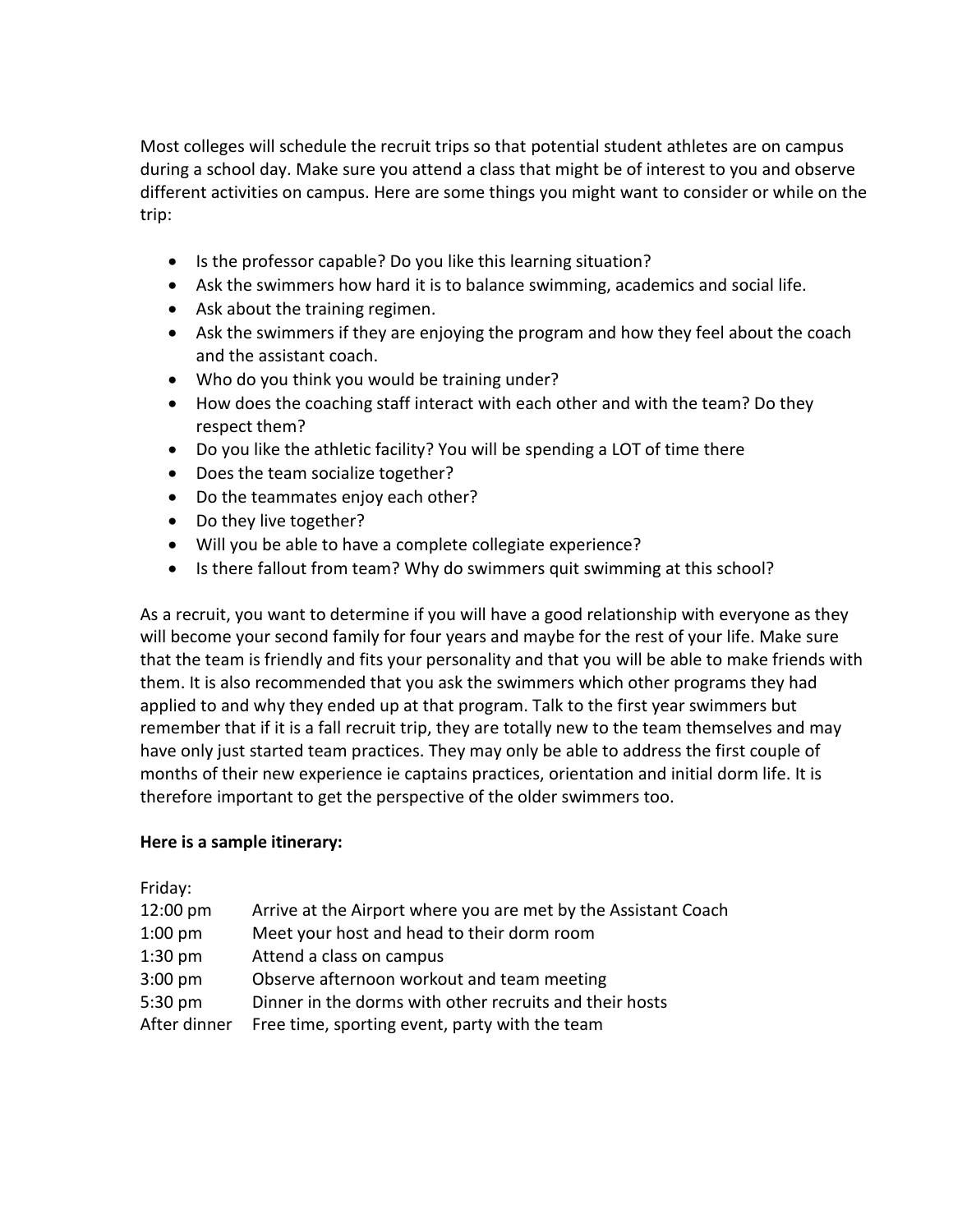Most colleges will schedule the recruit trips so that potential student athletes are on campus during a school day. Make sure you attend a class that might be of interest to you and observe different activities on campus. Here are some things you might want to consider or while on the trip:

- Is the professor capable? Do you like this learning situation?
- Ask the swimmers how hard it is to balance swimming, academics and social life.
- Ask about the training regimen.
- Ask the swimmers if they are enjoying the program and how they feel about the coach and the assistant coach.
- Who do you think you would be training under?
- How does the coaching staff interact with each other and with the team? Do they respect them?
- Do you like the athletic facility? You will be spending a LOT of time there
- Does the team socialize together?
- Do the teammates enjoy each other?
- Do they live together?
- Will you be able to have a complete collegiate experience?
- Is there fallout from team? Why do swimmers quit swimming at this school?

As a recruit, you want to determine if you will have a good relationship with everyone as they will become your second family for four years and maybe for the rest of your life. Make sure that the team is friendly and fits your personality and that you will be able to make friends with them. It is also recommended that you ask the swimmers which other programs they had applied to and why they ended up at that program. Talk to the first year swimmers but remember that if it is a fall recruit trip, they are totally new to the team themselves and may have only just started team practices. They may only be able to address the first couple of months of their new experience ie captains practices, orientation and initial dorm life. It is therefore important to get the perspective of the older swimmers too.

## **Here is a sample itinerary:**

Friday:

| 12:00 pm     | Arrive at the Airport where you are met by the Assistant Coach |
|--------------|----------------------------------------------------------------|
| $1:00$ pm    | Meet your host and head to their dorm room                     |
| $1:30$ pm    | Attend a class on campus                                       |
| $3:00$ pm    | Observe afternoon workout and team meeting                     |
| 5:30 pm      | Dinner in the dorms with other recruits and their hosts        |
| After dinner | Free time, sporting event, party with the team                 |
|              |                                                                |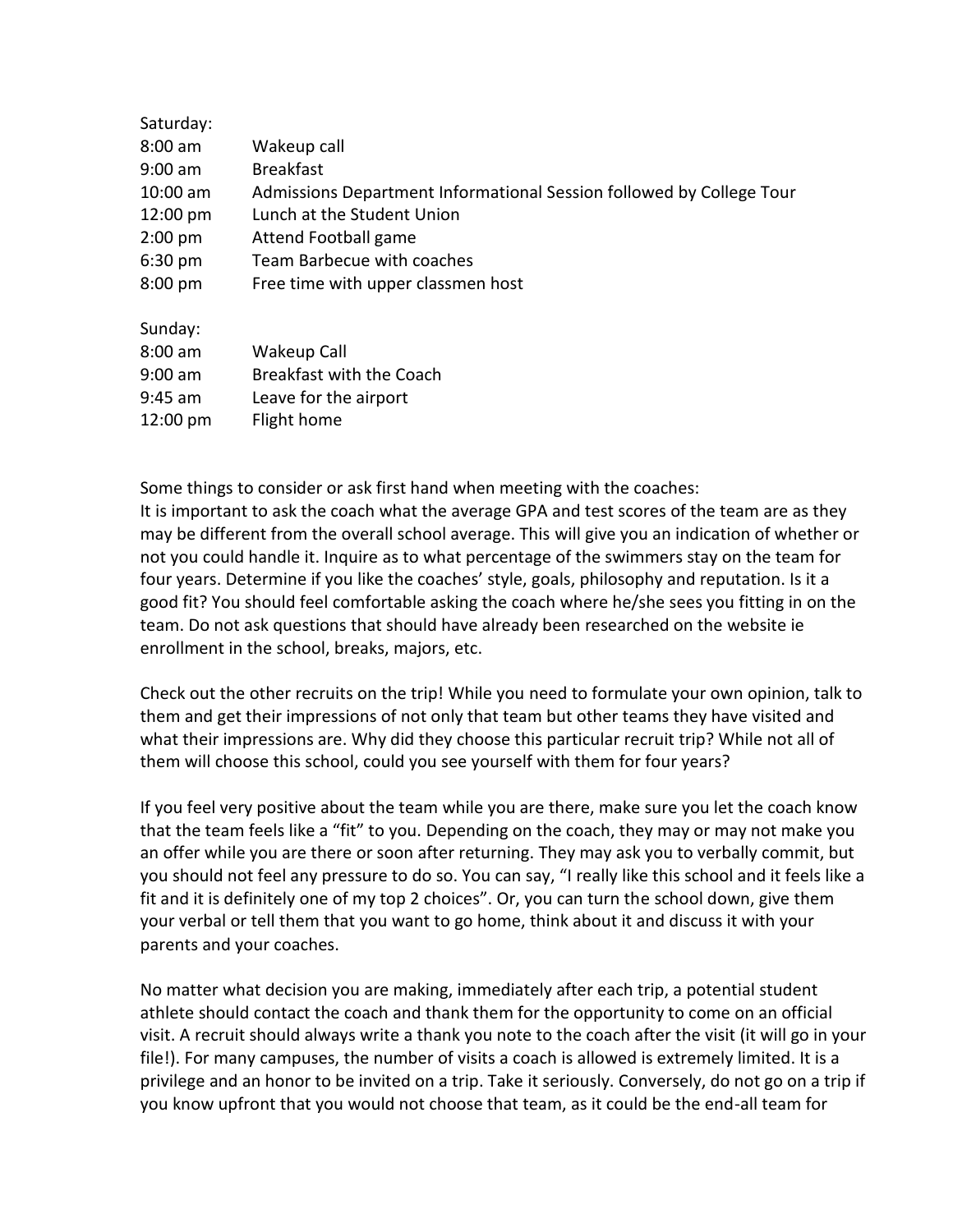| Saturday: |                                                                      |
|-----------|----------------------------------------------------------------------|
| 8:00 am   | Wakeup call                                                          |
| 9:00 am   | <b>Breakfast</b>                                                     |
| 10:00 am  | Admissions Department Informational Session followed by College Tour |
| 12:00 pm  | Lunch at the Student Union                                           |
| $2:00$ pm | Attend Football game                                                 |
| 6:30 pm   | Team Barbecue with coaches                                           |
| 8:00 pm   | Free time with upper classmen host                                   |
| Sunday:   |                                                                      |
| 8:00 am   | Wakeup Call                                                          |
| 9:00 am   | Breakfast with the Coach                                             |
| 9:45 am   | Leave for the airport                                                |
| 12:00 pm  | Flight home                                                          |

Some things to consider or ask first hand when meeting with the coaches: It is important to ask the coach what the average GPA and test scores of the team are as they may be different from the overall school average. This will give you an indication of whether or not you could handle it. Inquire as to what percentage of the swimmers stay on the team for four years. Determine if you like the coaches' style, goals, philosophy and reputation. Is it a good fit? You should feel comfortable asking the coach where he/she sees you fitting in on the team. Do not ask questions that should have already been researched on the website ie enrollment in the school, breaks, majors, etc.

Check out the other recruits on the trip! While you need to formulate your own opinion, talk to them and get their impressions of not only that team but other teams they have visited and what their impressions are. Why did they choose this particular recruit trip? While not all of them will choose this school, could you see yourself with them for four years?

If you feel very positive about the team while you are there, make sure you let the coach know that the team feels like a "fit" to you. Depending on the coach, they may or may not make you an offer while you are there or soon after returning. They may ask you to verbally commit, but you should not feel any pressure to do so. You can say, "I really like this school and it feels like a fit and it is definitely one of my top 2 choices". Or, you can turn the school down, give them your verbal or tell them that you want to go home, think about it and discuss it with your parents and your coaches.

No matter what decision you are making, immediately after each trip, a potential student athlete should contact the coach and thank them for the opportunity to come on an official visit. A recruit should always write a thank you note to the coach after the visit (it will go in your file!). For many campuses, the number of visits a coach is allowed is extremely limited. It is a privilege and an honor to be invited on a trip. Take it seriously. Conversely, do not go on a trip if you know upfront that you would not choose that team, as it could be the end-all team for